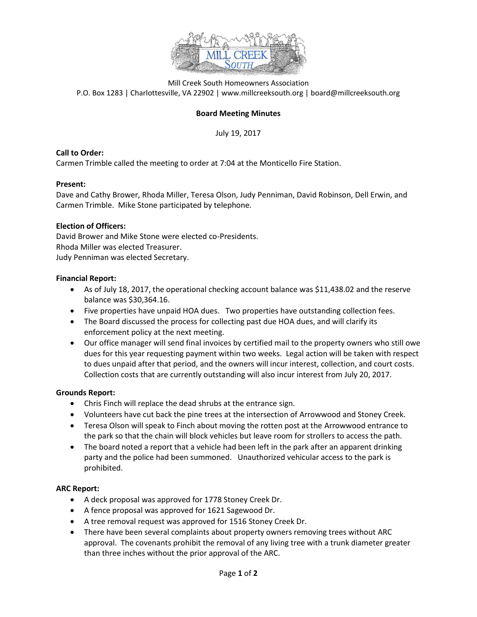

Mill Creek South Homeowners Association P.O. Box 1283 | Charlottesville, VA 22902 | www.millcreeksouth.org | board@millcreeksouth.org

# **Board Meeting Minutes**

July 19, 2017

## **Call to Order:**

Carmen Trimble called the meeting to order at 7:04 at the Monticello Fire Station.

## **Present:**

Dave and Cathy Brower, Rhoda Miller, Teresa Olson, Judy Penniman, David Robinson, Dell Erwin, and Carmen Trimble. Mike Stone participated by telephone.

## **Election of Officers:**

David Brower and Mike Stone were elected co-Presidents. Rhoda Miller was elected Treasurer. Judy Penniman was elected Secretary.

#### **Financial Report:**

- As of July 18, 2017, the operational checking account balance was \$11,438.02 and the reserve balance was \$30,364.16.
- Five properties have unpaid HOA dues. Two properties have outstanding collection fees.
- The Board discussed the process for collecting past due HOA dues, and will clarify its enforcement policy at the next meeting.
- Our office manager will send final invoices by certified mail to the property owners who still owe dues for this year requesting payment within two weeks. Legal action will be taken with respect to dues unpaid after that period, and the owners will incur interest, collection, and court costs. Collection costs that are currently outstanding will also incur interest from July 20, 2017.

## **Grounds Report:**

- Chris Finch will replace the dead shrubs at the entrance sign.
- Volunteers have cut back the pine trees at the intersection of Arrowwood and Stoney Creek.
- Teresa Olson will speak to Finch about moving the rotten post at the Arrowwood entrance to the park so that the chain will block vehicles but leave room for strollers to access the path.
- The board noted a report that a vehicle had been left in the park after an apparent drinking party and the police had been summoned. Unauthorized vehicular access to the park is prohibited.

#### **ARC Report:**

- A deck proposal was approved for 1778 Stoney Creek Dr.
- A fence proposal was approved for 1621 Sagewood Dr.
- A tree removal request was approved for 1516 Stoney Creek Dr.
- There have been several complaints about property owners removing trees without ARC approval. The covenants prohibit the removal of any living tree with a trunk diameter greater than three inches without the prior approval of the ARC.